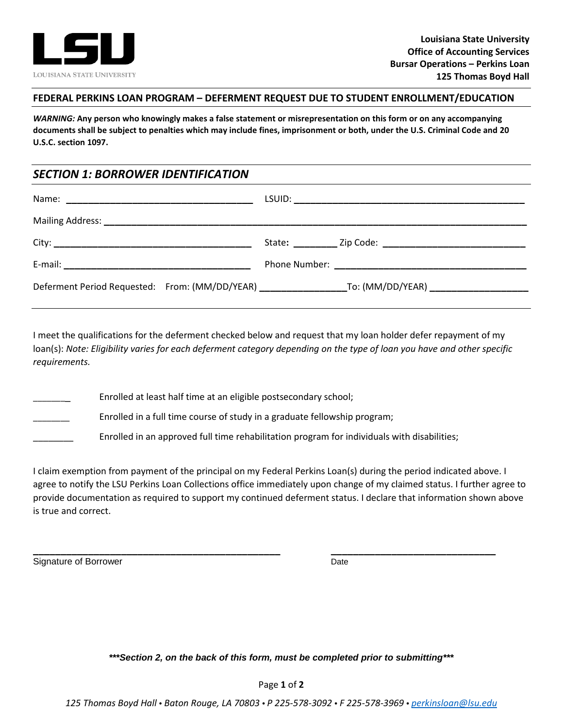

## **FEDERAL PERKINS LOAN PROGRAM – DEFERMENT REQUEST DUE TO STUDENT ENROLLMENT/EDUCATION**

*WARNING:* **Any person who knowingly makes a false statement or misrepresentation on this form or on any accompanying documents shall be subject to penalties which may include fines, imprisonment or both, under the U.S. Criminal Code and 20 U.S.C. section 1097.**

## *SECTION 1: BORROWER IDENTIFICATION*

|  | Deferment Period Requested: From: (MM/DD/YEAR) __________________________________ |
|--|-----------------------------------------------------------------------------------|

I meet the qualifications for the deferment checked below and request that my loan holder defer repayment of my loan(s): *Note: Eligibility varies for each deferment category depending on the type of loan you have and other specific requirements.* 

Enrolled at least half time at an eligible postsecondary school; Enrolled in a full time course of study in a graduate fellowship program; \_\_\_\_\_\_\_\_ Enrolled in an approved full time rehabilitation program for individuals with disabilities;

I claim exemption from payment of the principal on my Federal Perkins Loan(s) during the period indicated above. I agree to notify the LSU Perkins Loan Collections office immediately upon change of my claimed status. I further agree to provide documentation as required to support my continued deferment status. I declare that information shown above is true and correct.

**\_\_\_\_\_\_\_\_\_\_\_\_\_\_\_\_\_\_\_\_\_\_\_\_\_\_\_\_\_\_\_\_\_\_\_\_\_\_\_\_\_\_\_\_\_ \_\_\_\_\_\_\_\_\_\_\_\_\_\_\_\_\_\_\_\_\_\_\_\_\_\_\_\_\_\_**

Signature of Borrower Date Date Date

*\*\*\*Section 2, on the back of this form, must be completed prior to submitting\*\*\**

*125 Thomas Boyd Hall • Baton Rouge, LA 70803 • P 225-578-3092 • F 225-578-3969 • [perkinsloan@lsu.edu](mailto:perkinsloan@lsu.edu)*